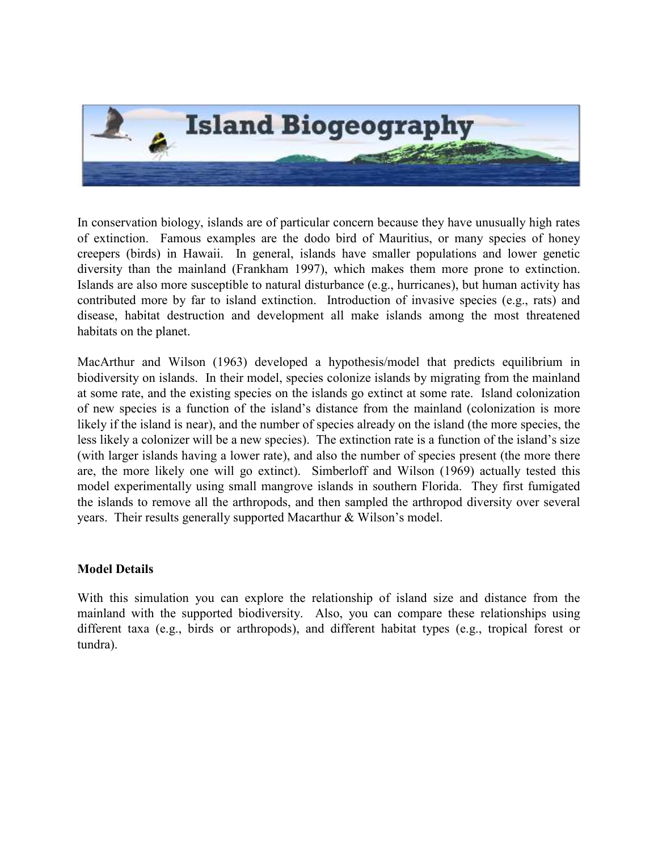

In conservation biology, islands are of particular concern because they have unusually high rates of extinction. Famous examples are the dodo bird of Mauritius, or many species of honey creepers (birds) in Hawaii. In general, islands have smaller populations and lower genetic diversity than the mainland (Frankham 1997), which makes them more prone to extinction. Islands are also more susceptible to natural disturbance (e.g., hurricanes), but human activity has contributed more by far to island extinction. Introduction of invasive species (e.g., rats) and disease, habitat destruction and development all make islands among the most threatened habitats on the planet.

MacArthur and Wilson (1963) developed a hypothesis/model that predicts equilibrium in biodiversity on islands. In their model, species colonize islands by migrating from the mainland at some rate, and the existing species on the islands go extinct at some rate. Island colonization of new species is a function of the island's distance from the mainland (colonization is more likely if the island is near), and the number of species already on the island (the more species, the less likely a colonizer will be a new species). The extinction rate is a function of the island's size (with larger islands having a lower rate), and also the number of species present (the more there are, the more likely one will go extinct). Simberloff and Wilson (1969) actually tested this model experimentally using small mangrove islands in southern Florida. They first fumigated the islands to remove all the arthropods, and then sampled the arthropod diversity over several years. Their results generally supported Macarthur & Wilson's model.

## Model Details

With this simulation you can explore the relationship of island size and distance from the mainland with the supported biodiversity. Also, you can compare these relationships using different taxa (e.g., birds or arthropods), and different habitat types (e.g., tropical forest or tundra).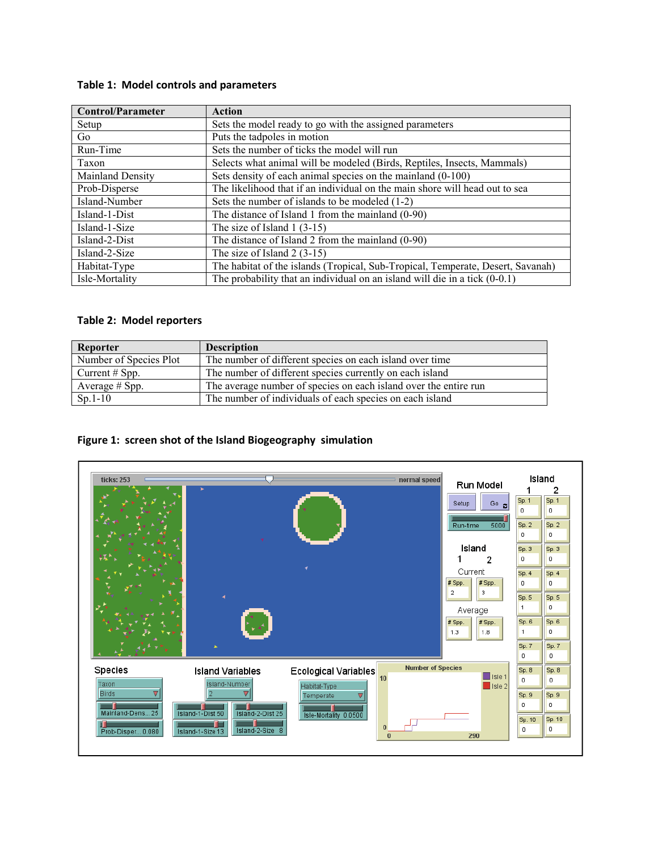#### Table 1: Model controls and parameters

| <b>Control/Parameter</b> | <b>Action</b>                                                                   |
|--------------------------|---------------------------------------------------------------------------------|
| Setup                    | Sets the model ready to go with the assigned parameters                         |
| Go                       | Puts the tadpoles in motion                                                     |
| Run-Time                 | Sets the number of ticks the model will run                                     |
| Taxon                    | Selects what animal will be modeled (Birds, Reptiles, Insects, Mammals)         |
| <b>Mainland Density</b>  | Sets density of each animal species on the mainland (0-100)                     |
| Prob-Disperse            | The likelihood that if an individual on the main shore will head out to sea     |
| Island-Number            | Sets the number of islands to be modeled $(1-2)$                                |
| Island-1-Dist            | The distance of Island 1 from the mainland (0-90)                               |
| Island-1-Size            | The size of Island $1(3-15)$                                                    |
| Island-2-Dist            | The distance of Island 2 from the mainland $(0-90)$                             |
| Island-2-Size            | The size of Island $2(3-15)$                                                    |
| Habitat-Type             | The habitat of the islands (Tropical, Sub-Tropical, Temperate, Desert, Savanah) |
| Isle-Mortality           | The probability that an individual on an island will die in a tick $(0-0.1)$    |

#### Table 2: Model reporters

| Reporter               | <b>Description</b>                                               |
|------------------------|------------------------------------------------------------------|
| Number of Species Plot | The number of different species on each island over time         |
| Current $#$ Spp.       | The number of different species currently on each island         |
| Average # Spp.         | The average number of species on each island over the entire run |
| $Sp.1-10$              | The number of individuals of each species on each island         |

### Figure 1: screen shot of the Island Biogeography simulation